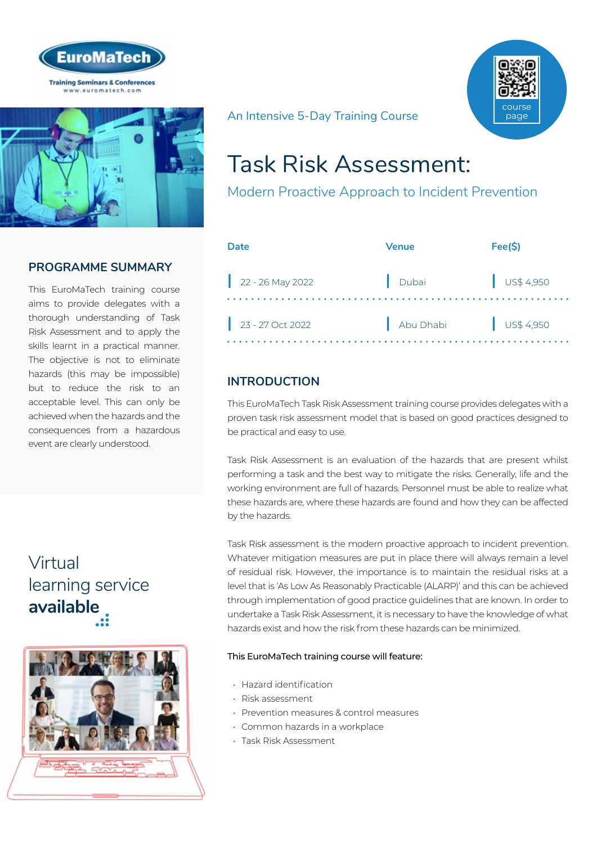



## **PROGRAMME SUMMARY**

This EuroMaTech training course aims to provide delegates with a thorough understanding of Task Risk Assessment and to apply the skills learnt in a practical manner. The objective is not to eliminate hazards (this may be impossible) but to reduce the risk to an acceptable level. This can only be achieved when the hazards and the consequences from a hazardous event are clearly understood.

# Virtual [learning service](https://www.euromatech.com/seminars/task-risk-assessment-modern-proactive-approach-to-incident-prevention/)  **available**



course page

#### An Intensive 5-Day Training Course

# Task Risk Assessment:

Modern Proactive Approach to Incident Prevention

| Date               | Venue     | Fee(S)               |
|--------------------|-----------|----------------------|
| $22 - 26$ May 2022 | Dubai     | $\bigcup$ US\$ 4,950 |
| $23 - 27$ Oct 2022 | Abu Dhabi | $\bigcup$ US\$ 4,950 |

## **INTRODUCTION**

This EuroMaTech Task Risk Assessment training course provides delegates with a proven task risk assessment model that is based on good practices designed to be practical and easy to use.

Task Risk Assessment is an evaluation of the hazards that are present whilst performing a task and the best way to mitigate the risks. Generally, life and the working environment are full of hazards. Personnel must be able to realize what these hazards are, where these hazards are found and how they can be affected by the hazards.

Task Risk assessment is the modern proactive approach to incident prevention. Whatever mitigation measures are put in place there will always remain a level of residual risk. However, the importance is to maintain the residual risks at a level that is 'As Low As Reasonably Practicable (ALARP)' and this can be achieved through implementation of good practice guidelines that are known. In order to undertake a Task Risk Assessment, it is necessary to have the knowledge of what hazards exist and how the risk from these hazards can be minimized.

#### This EuroMaTech training course will feature:

- Hazard identification
- Risk assessment
- Prevention measures & control measures
- Common hazards in a workplace
- Task Risk Assessment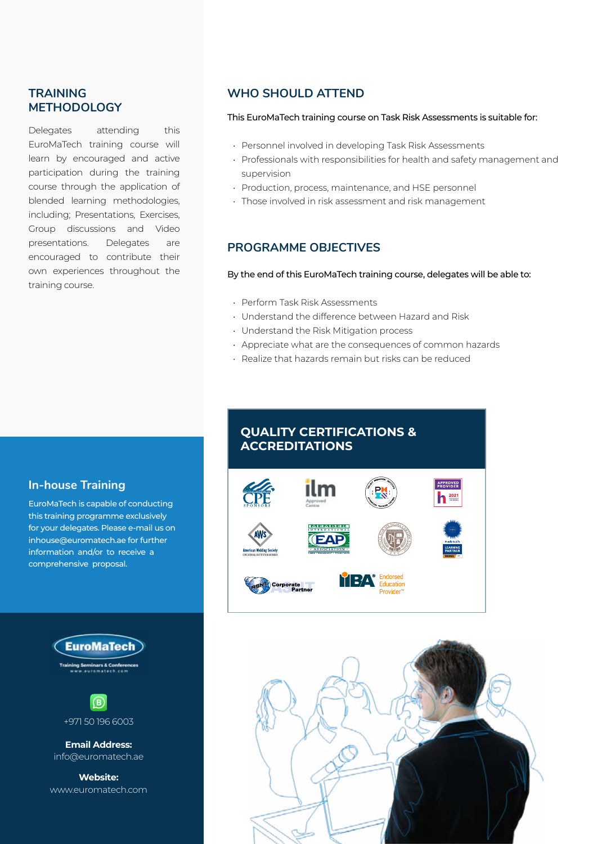## **TRAINING METHODOLOGY**

Delegates attending this EuroMaTech training course will learn by encouraged and active participation during the training course through the application of blended learning methodologies, including; Presentations, Exercises, Group discussions and Video presentations. Delegates are encouraged to contribute their own experiences throughout the training course.

## **WHO SHOULD ATTEND**

#### This EuroMaTech training course on Task Risk Assessments is suitable for:

- Personnel involved in developing Task Risk Assessments
- Professionals with responsibilities for health and safety management and supervision
- Production, process, maintenance, and HSE personnel
- Those involved in risk assessment and risk management

## **PROGRAMME OBJECTIVES**

#### By the end of this EuroMaTech training course, delegates will be able to:

- Perform Task Risk Assessments
- Understand the difference between Hazard and Risk
- Understand the Risk Mitigation process
- Appreciate what are the consequences of common hazards
- Realize that hazards remain but risks can be reduced

## **In-house Training**

EuroMaTech is capable of conducting this training programme exclusively for your delegates. Please e-mail us on inhouse@euromatech.ae for further information and/or to receive a comprehensive proposal.





+971 50 196 6003

**Email Address:** info@euromatech.ae

**Website:** www.euromatech.com

# **QUALITY CERTIFICATIONS & ACCREDITATIONS**



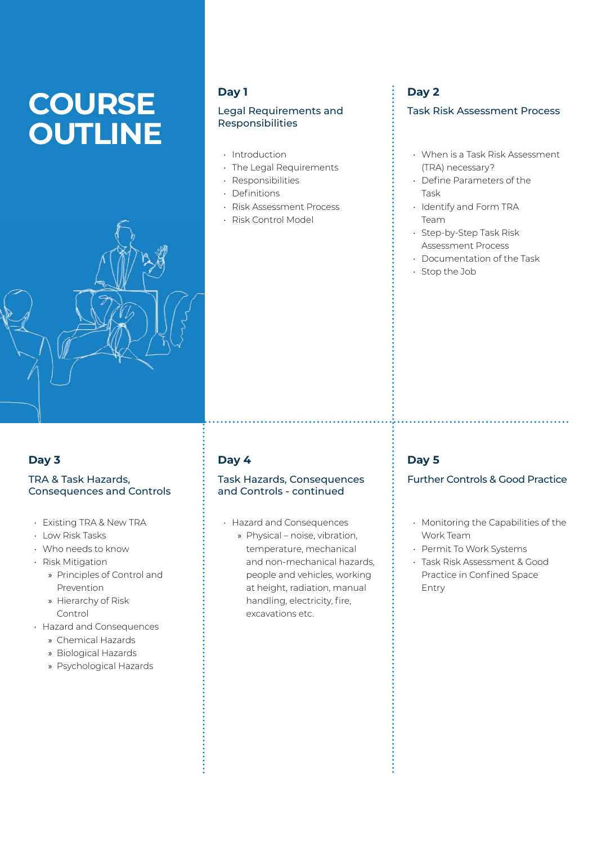# **COURSE OUTLINE**



### **Day 1**

#### Legal Requirements and Responsibilities

- Introduction
- The Legal Requirements
- Responsibilities
- Definitions
- Risk Assessment Process
- Risk Control Model

## **Day 2**

#### Task Risk Assessment Process

- When is a Task Risk Assessment (TRA) necessary?
- Define Parameters of the Task
- Identify and Form TRA Team
- Step-by-Step Task Risk Assessment Process
- Documentation of the Task
- Stop the Job

## **Day 3**

#### TRA & Task Hazards, Consequences and Controls

- Existing TRA & New TRA
- Low Risk Tasks
- Who needs to know
- Risk Mitigation
	- » Principles of Control and Prevention
	- » Hierarchy of Risk Control
- Hazard and Consequences
	- » Chemical Hazards
	- » Biological Hazards
	- » Psychological Hazards

## **Day 4**

#### Task Hazards, Consequences and Controls - continued

- Hazard and Consequences
	- » Physical noise, vibration, temperature, mechanical and non-mechanical hazards, people and vehicles, working at height, radiation, manual handling, electricity, fire, excavations etc.

## **Day 5**

#### Further Controls & Good Practice

- Monitoring the Capabilities of the Work Team
- Permit To Work Systems
- Task Risk Assessment & Good Practice in Confined Space Entry